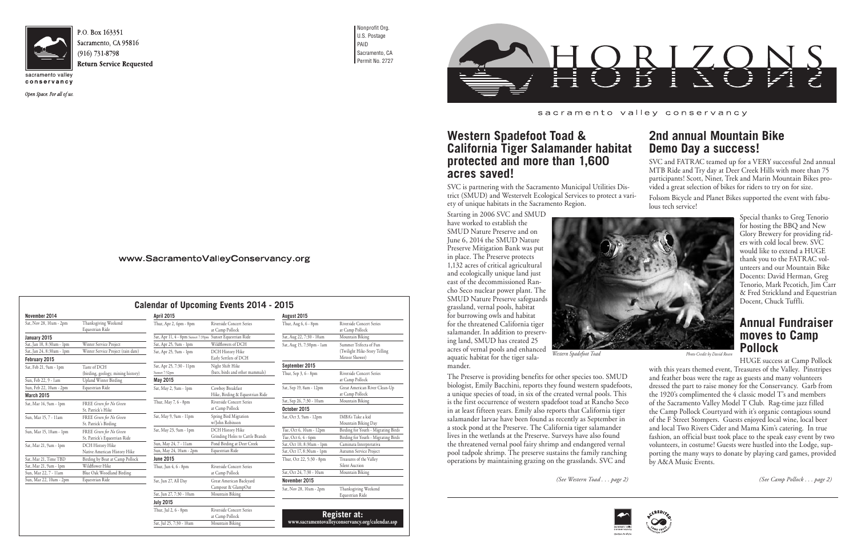

Sacramento, CA 95816

conservancy

Open Space. For all of us.

Nonprofit Org. U.S. Postage PAID Sacramento, CA Permit No. 2727



at Camp Pollock

Sat, Jul 25, 7:30 - 10am Mountain Biking

**Register at: www.sacramentovalleyconservancy.org/calendar.asp**



### sacramento valley conservancy

| November 2014                                |                                                    | <b>April 2015</b>                                         |                                                     | August 2015                            |                                                  |
|----------------------------------------------|----------------------------------------------------|-----------------------------------------------------------|-----------------------------------------------------|----------------------------------------|--------------------------------------------------|
| Sat, Nov 28, 10am - 2pm                      | Thanksgiving Weekend<br>Equestrian Ride            | Thur, Apr 2, 6pm - 8pm                                    | Riverside Concert Series<br>at Camp Pollock         | Thur, Aug 6, 6 - 8pm                   | Riverside Concert Series<br>at Camp Pollock      |
| January 2015                                 |                                                    | Sat, Apr 11, 4 - 8pm Sunset 7:39pm Sunset Equestrian Ride |                                                     | Sat, Aug 22, 7:30 - 10am               | Mountain Biking                                  |
| Sat, Jan 10, 8:30am - 1pm                    | Winter Service Project                             | Sat, Apr 25, 9am - 1pm                                    | Wildflowers of DCH                                  | Sat, Aug 15, 7:30pm - 1am              | Summer Trifecta of Fun                           |
| Sat, Jan 24, 8:30am - 1pm<br>February 2015   | Winter Service Project (rain date)                 | Sat, Apr 25, 9am - 1pm                                    | DCH History Hike<br>Early Settlers of DCH           |                                        | (Twilight Hike-Story Telling<br>Meteor Shower)   |
| Sat, Feb 21, 9am - 1pm                       | Taste of DCH<br>(birding, geology, mining history) | Sat, Apr 25, 7:30 - 11pm<br>Sunset 7:52pm                 | Night Shift Hike<br>(bats, birds and other mammals) | September 2015<br>Thur, Sep 3, 6 - 8pm | Riverside Concert Series                         |
| Sun, Feb 22, 9 - 1am                         | <b>Upland Winter Birding</b>                       | May 2015                                                  |                                                     |                                        | at Camp Pollock                                  |
| Sun, Feb 22, 10am - 2pm<br><b>March 2015</b> | Equestrian Ride                                    | Sat, May 2, 9am - 1pm                                     | Cowboy Breakfast<br>Hike, Birding & Equestrian Ride | Sat, Sep 19, 8am - 12pm                | Great American River Clean-Up<br>at Camp Pollock |
| Sat, Mar 14, 9am - 1pm                       | FREE Green for No Green                            | Thur, May 7, 6 - 8pm                                      | <b>Riverside Concert Series</b>                     | Sat, Sep 26, 7:30 - 10am               | Mountain Biking                                  |
|                                              | St. Patrick's Hike                                 |                                                           | at Camp Pollock                                     | October 2015                           |                                                  |
| Sun, Mar 15, 7 - 11am                        | FREE Green for No Green<br>St. Patrick's Birding   | Sat, May 9, 9am - 11pm                                    | Spring Bird Migration<br>w/John Robinson            | Sat, Oct 3, 9am - 12pm                 | IMBA's Take a kid<br>Mountain Biking Day         |
| Sun, Mar 15, 10am - 1pm                      | FREE Green for No Green                            | Sat, May 23, 9am - 1pm                                    | DCH History Hike                                    | Tue, Oct 6, 10am - 12pm                | Birding for Youth - Migrating Birds              |
|                                              | St. Patrick's Equestrian Ride                      |                                                           | Grinding Holes to Cattle Brands                     | Tue, Oct 6, 4 - 6pm                    | Birding for Youth - Migrating Birds              |
| Sat, Mar 21, 9am - 1pm                       | DCH History Hike                                   | Sun, May 24, 7 - 11am                                     | Pond Birding at Deer Creek                          | Sat, Oct 10, 8:30am - 1pm              | Caminata Interpretativa                          |
|                                              | Native American History Hike                       | Sun, May 24, 10am - 2pm                                   | Equestrian Ride                                     | Sat, Oct 17, 8:30am - 1pm              | Autumn Service Project                           |
| Sat, Mar 21, Time TBD                        | Birding by Boat at Camp Pollock                    | <b>June 2015</b>                                          |                                                     | Thur, Oct 22, 5:30 - 8pm               | Treasures of the Valley                          |
| Sat, Mar 21, 9am - 1pm                       | Wildflower Hike                                    | Thur, Jun 4, 6 - 8pm                                      | <b>Riverside Concert Series</b>                     |                                        | Silent Auction                                   |
| Sun, Mar 22, 7 - 11am                        | Blue Oak Woodland Birding                          |                                                           | at Camp Pollock                                     | Sat, Oct 24, 7:30 - 10am               | Mountain Biking                                  |
| Sun, Mar 22, 10am - 2pm                      | Equestrian Ride                                    | Sat, Jun 27, All Day                                      | Great American Backyard                             | November 2015                          |                                                  |
|                                              |                                                    | Sat, Jun 27, 7:30 - 10am                                  | Campout & GlampOut<br>Mountain Biking               | Sat, Nov 28, 10am - 2pm                | Thanksgiving Weekend<br>Equestrian Ride          |
|                                              |                                                    | <b>July 2015</b>                                          |                                                     |                                        |                                                  |
|                                              |                                                    | Thur, Jul 2, 6 - 8pm                                      | <b>Riverside Concert Series</b>                     | $\sim$ $\sim$                          | <b>Contract Contract Contract</b><br>. .         |

# **Western Spadefoot Toad & California Tiger Salamander habitat protected and more than 1,600 acres saved!**

Starting in 2006 SVC and SMUD have worked to establish the SMUD Nature Preserve and on June 6, 2014 the SMUD Nature Preserve Mitigation Bank was put in place. The Preserve protects 1,132 acres of critical agricultural and ecologically unique land just east of the decommissioned Rancho Seco nuclear power plant. The SMUD Nature Preserve safeguards grassland, vernal pools, habitat for burrowing owls and habitat for the threatened California tiger salamander. In addition to preserving land, SMUD has created 25 acres of vernal pools and enhanced aquatic habitat for the tiger salamander.

SVC is partnering with the Sacramento Municipal Utilities District (SMUD) and Westervelt Ecological Services to protect a variety of unique habitats in the Sacramento Region. Folsom Bicycle and Planet Bikes supported the event with fabulous tech service!

The Preserve is providing benefits for other species too. SMUD biologist, Emily Bacchini, reports they found western spadefoots, a unique species of toad, in six of the created vernal pools. This is the first occurrence of western spadefoot toad at Rancho Seco in at least fifteen years. Emily also reports that California tiger salamander larvae have been found as recently as September in a stock pond at the Preserve. The California tiger salamander lives in the wetlands at the Preserve. Surveys have also found the threatened vernal pool fairy shrimp and endangered vernal pool tadpole shrimp. The preserve sustains the family ranching operations by maintaining grazing on the grasslands. SVC and

# **2nd annual Mountain Bike Demo Day a success!**

SVC and FATRAC teamed up for a VERY successful 2nd annual MTB Ride and Try day at Deer Creek Hills with more than 75 participants! Scott, Niner, Trek and Marin Mountain Bikes provided a great selection of bikes for riders to try on for size.

Special thanks to Greg Tenorio for hosting the BBQ and New Glory Brewery for providing riders with cold local brew. SVC would like to extend a HUGE thank you to the FATRAC volunteers and our Mountain Bike Docents: David Herman, Greg Tenorio, Mark Pecotich, Jim Carr & Fred Strickland and Equestrian Docent, Chuck Tuffli.

# **Annual Fundraiser moves to Camp Pollock**

HUGE success at Camp Pollock with this years themed event, Treasures of the Valley. Pinstripes and feather boas were the rage as guests and many volunteers dressed the part to raise money for the Conservancy. Garb from the 1920's complimented the 4 classic model T's and members of the Sacramento Valley Model T Club. Rag-time jazz filled the Camp Pollock Courtyard with it's organic contagious sound of the F Street Stompers. Guests enjoyed local wine, local beer and local Two Rivers Cider and Mama Kim's catering. In true fashion, an official bust took place to the speak easy event by two volunteers, in costume! Guests were hustled into the Lodge, supporting the many ways to donate by playing card games, provided by A&A Music Events.

*(See Camp Pollock . . . page 2)*





*(See Western Toad . . . page 2)*

| www.SacramentoValleyConservancy.org |  |
|-------------------------------------|--|
|-------------------------------------|--|